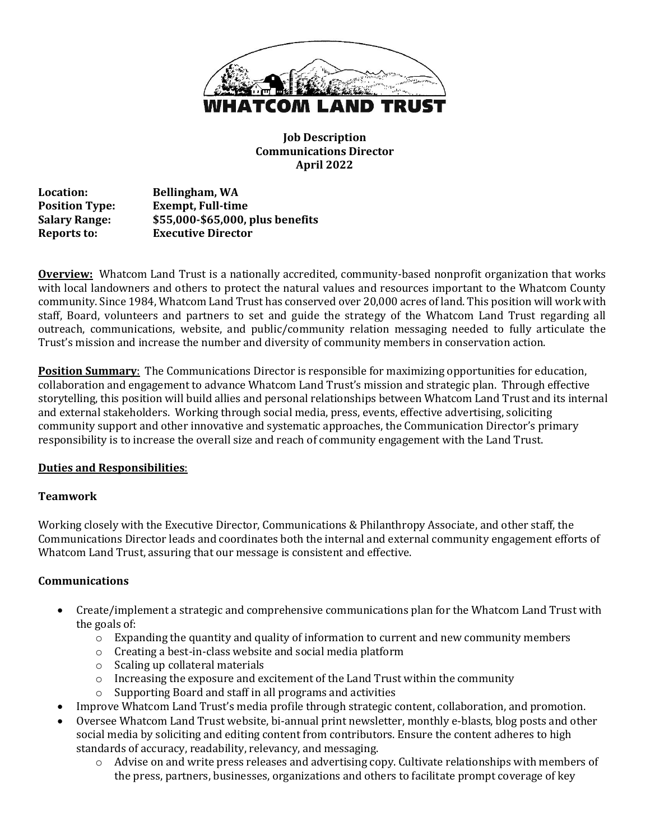

**Job Description Communications Director April 2022**

**Location: Bellingham, WA Position Type: Exempt, Full-time Salary Range: \$55,000-\$65,000, plus benefits Reports to: Executive Director** 

**Overview:** Whatcom Land Trust is a nationally accredited, community-based nonprofit organization that works with local landowners and others to protect the natural values and resources important to the Whatcom County community. Since 1984, Whatcom Land Trust has conserved over 20,000 acres of land. This position will work with staff, Board, volunteers and partners to set and guide the strategy of the Whatcom Land Trust regarding all outreach, communications, website, and public/community relation messaging needed to fully articulate the Trust's mission and increase the number and diversity of community members in conservation action.

**Position Summary**: The Communications Director is responsible for maximizing opportunities for education, collaboration and engagement to advance Whatcom Land Trust's mission and strategic plan. Through effective storytelling, this position will build allies and personal relationships between Whatcom Land Trust and its internal and external stakeholders. Working through social media, press, events, effective advertising, soliciting community support and other innovative and systematic approaches, the Communication Director's primary responsibility is to increase the overall size and reach of community engagement with the Land Trust.

## **Duties and Responsibilities**:

## **Teamwork**

Working closely with the Executive Director, Communications & Philanthropy Associate, and other staff, the Communications Director leads and coordinates both the internal and external community engagement efforts of Whatcom Land Trust, assuring that our message is consistent and effective.

## **Communications**

- Create/implement a strategic and comprehensive communications plan for the Whatcom Land Trust with the goals of:
	- $\circ$  Expanding the quantity and quality of information to current and new community members
	- o Creating a best-in-class website and social media platform
	- o Scaling up collateral materials
	- $\circ$  Increasing the exposure and excitement of the Land Trust within the community
	- o Supporting Board and staff in all programs and activities
- Improve Whatcom Land Trust's media profile through strategic content, collaboration, and promotion.
- Oversee Whatcom Land Trust website, bi-annual print newsletter, monthly e-blasts, blog posts and other social media by soliciting and editing content from contributors. Ensure the content adheres to high standards of accuracy, readability, relevancy, and messaging.
	- $\circ$  Advise on and write press releases and advertising copy. Cultivate relationships with members of the press, partners, businesses, organizations and others to facilitate prompt coverage of key